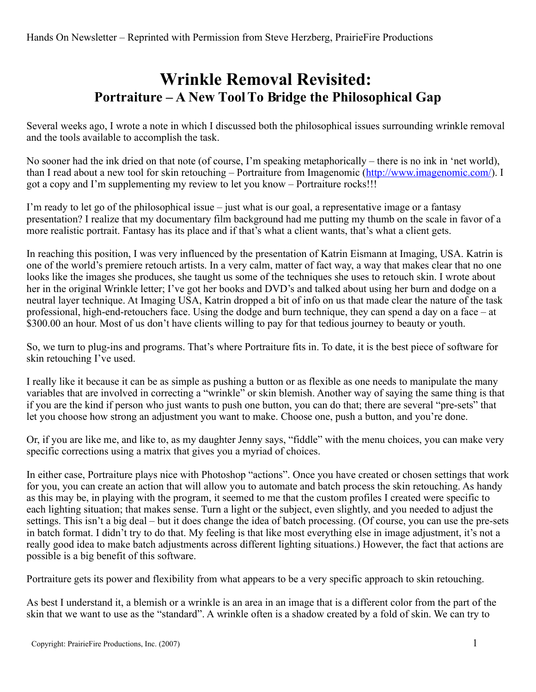## **Wrinkle Removal Revisited: Portraiture – A New ToolTo Bridge the Philosophical Gap**

Several weeks ago, I wrote a note in which I discussed both the philosophical issues surrounding wrinkle removal and the tools available to accomplish the task.

No sooner had the ink dried on that note (of course, I'm speaking metaphorically – there is no ink in 'net world), than I read about a new tool for skin retouching – Portraiture from Imagenomic [\(http://www.imagenomic.com/\)](http://www.imagenomic.com/). I got a copy and I'm supplementing my review to let you know – Portraiture rocks!!!

I'm ready to let go of the philosophical issue – just what is our goal, a representative image or a fantasy presentation? I realize that my documentary film background had me putting my thumb on the scale in favor of a more realistic portrait. Fantasy has its place and if that's what a client wants, that's what a client gets.

In reaching this position, I was very influenced by the presentation of Katrin Eismann at Imaging, USA. Katrin is one of the world's premiere retouch artists. In a very calm, matter of fact way, a way that makes clear that no one looks like the images she produces, she taught us some of the techniques she uses to retouch skin. I wrote about her in the original Wrinkle letter; I've got her books and DVD's and talked about using her burn and dodge on a neutral layer technique. At Imaging USA, Katrin dropped a bit of info on us that made clear the nature of the task professional, high-end-retouchers face. Using the dodge and burn technique, they can spend a day on a face – at \$300.00 an hour. Most of us don't have clients willing to pay for that tedious journey to beauty or youth.

So, we turn to plug-ins and programs. That's where Portraiture fits in. To date, it is the best piece of software for skin retouching I've used.

I really like it because it can be as simple as pushing a button or as flexible as one needs to manipulate the many variables that are involved in correcting a "wrinkle" or skin blemish. Another way of saying the same thing is that if you are the kind if person who just wants to push one button, you can do that; there are several "pre-sets" that let you choose how strong an adjustment you want to make. Choose one, push a button, and you're done.

Or, if you are like me, and like to, as my daughter Jenny says, "fiddle" with the menu choices, you can make very specific corrections using a matrix that gives you a myriad of choices.

In either case, Portraiture plays nice with Photoshop "actions". Once you have created or chosen settings that work for you, you can create an action that will allow you to automate and batch process the skin retouching. As handy as this may be, in playing with the program, it seemed to me that the custom profiles I created were specific to each lighting situation; that makes sense. Turn a light or the subject, even slightly, and you needed to adjust the settings. This isn't a big deal – but it does change the idea of batch processing. (Of course, you can use the pre-sets in batch format. I didn't try to do that. My feeling is that like most everything else in image adjustment, it's not a really good idea to make batch adjustments across different lighting situations.) However, the fact that actions are possible is a big benefit of this software.

Portraiture gets its power and flexibility from what appears to be a very specific approach to skin retouching.

As best I understand it, a blemish or a wrinkle is an area in an image that is a different color from the part of the skin that we want to use as the "standard". A wrinkle often is a shadow created by a fold of skin. We can try to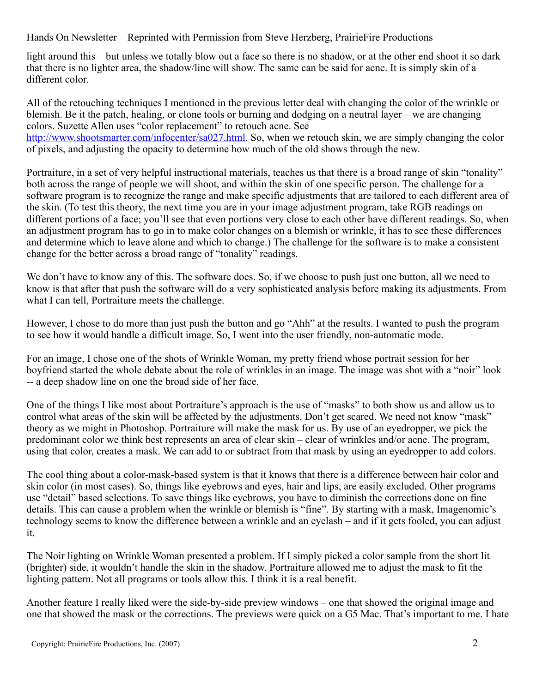Hands On Newsletter – Reprinted with Permission from Steve Herzberg, PrairieFire Productions

light around this – but unless we totally blow out a face so there is no shadow, or at the other end shoot it so dark that there is no lighter area, the shadow/line will show. The same can be said for acne. It is simply skin of a different color.

All of the retouching techniques I mentioned in the previous letter deal with changing the color of the wrinkle or blemish. Be it the patch, healing, or clone tools or burning and dodging on a neutral layer – we are changing colors. Suzette Allen uses "color replacement" to retouch acne. See [http://www.shootsmarter.com/infocenter/sa027.html.](http://www.shootsmarter.com/infocenter/sa027.html) So, when we retouch skin, we are simply changing the color of pixels, and adjusting the opacity to determine how much of the old shows through the new.

Portraiture, in a set of very helpful instructional materials, teaches us that there is a broad range of skin "tonality" both across the range of people we will shoot, and within the skin of one specific person. The challenge for a software program is to recognize the range and make specific adjustments that are tailored to each different area of the skin. (To test this theory, the next time you are in your image adjustment program, take RGB readings on different portions of a face; you'll see that even portions very close to each other have different readings. So, when an adjustment program has to go in to make color changes on a blemish or wrinkle, it has to see these differences and determine which to leave alone and which to change.) The challenge for the software is to make a consistent change for the better across a broad range of "tonality" readings.

We don't have to know any of this. The software does. So, if we choose to push just one button, all we need to know is that after that push the software will do a very sophisticated analysis before making its adjustments. From what I can tell, Portraiture meets the challenge.

However, I chose to do more than just push the button and go "Ahh" at the results. I wanted to push the program to see how it would handle a difficult image. So, I went into the user friendly, non-automatic mode.

For an image, I chose one of the shots of Wrinkle Woman, my pretty friend whose portrait session for her boyfriend started the whole debate about the role of wrinkles in an image. The image was shot with a "noir" look -- a deep shadow line on one the broad side of her face.

One of the things I like most about Portraiture's approach is the use of "masks" to both show us and allow us to control what areas of the skin will be affected by the adjustments. Don't get scared. We need not know "mask" theory as we might in Photoshop. Portraiture will make the mask for us. By use of an eyedropper, we pick the predominant color we think best represents an area of clear skin – clear of wrinkles and/or acne. The program, using that color, creates a mask. We can add to or subtract from that mask by using an eyedropper to add colors.

The cool thing about a color-mask-based system is that it knows that there is a difference between hair color and skin color (in most cases). So, things like eyebrows and eyes, hair and lips, are easily excluded. Other programs use "detail" based selections. To save things like eyebrows, you have to diminish the corrections done on fine details. This can cause a problem when the wrinkle or blemish is "fine". By starting with a mask, Imagenomic's technology seems to know the difference between a wrinkle and an eyelash – and if it gets fooled, you can adjust it.

The Noir lighting on Wrinkle Woman presented a problem. If I simply picked a color sample from the short lit (brighter) side, it wouldn't handle the skin in the shadow. Portraiture allowed me to adjust the mask to fit the lighting pattern. Not all programs or tools allow this. I think it is a real benefit.

Another feature I really liked were the side-by-side preview windows – one that showed the original image and one that showed the mask or the corrections. The previews were quick on a G5 Mac. That's important to me. I hate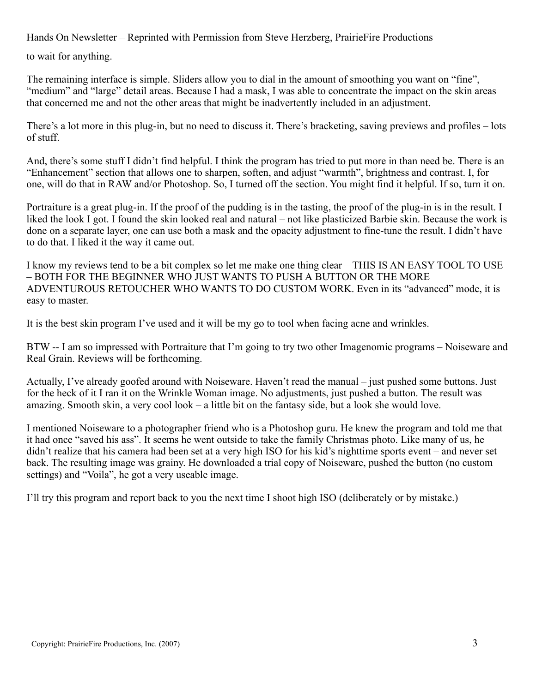Hands On Newsletter – Reprinted with Permission from Steve Herzberg, PrairieFire Productions

to wait for anything.

The remaining interface is simple. Sliders allow you to dial in the amount of smoothing you want on "fine", "medium" and "large" detail areas. Because I had a mask, I was able to concentrate the impact on the skin areas that concerned me and not the other areas that might be inadvertently included in an adjustment.

There's a lot more in this plug-in, but no need to discuss it. There's bracketing, saving previews and profiles – lots of stuff.

And, there's some stuff I didn't find helpful. I think the program has tried to put more in than need be. There is an "Enhancement" section that allows one to sharpen, soften, and adjust "warmth", brightness and contrast. I, for one, will do that in RAW and/or Photoshop. So, I turned off the section. You might find it helpful. If so, turn it on.

Portraiture is a great plug-in. If the proof of the pudding is in the tasting, the proof of the plug-in is in the result. I liked the look I got. I found the skin looked real and natural – not like plasticized Barbie skin. Because the work is done on a separate layer, one can use both a mask and the opacity adjustment to fine-tune the result. I didn't have to do that. I liked it the way it came out.

I know my reviews tend to be a bit complex so let me make one thing clear – THIS IS AN EASY TOOL TO USE – BOTH FOR THE BEGINNER WHO JUST WANTS TO PUSH A BUTTON OR THE MORE ADVENTUROUS RETOUCHER WHO WANTS TO DO CUSTOM WORK. Even in its "advanced" mode, it is easy to master.

It is the best skin program I've used and it will be my go to tool when facing acne and wrinkles.

BTW -- I am so impressed with Portraiture that I'm going to try two other Imagenomic programs – Noiseware and Real Grain. Reviews will be forthcoming.

Actually, I've already goofed around with Noiseware. Haven't read the manual – just pushed some buttons. Just for the heck of it I ran it on the Wrinkle Woman image. No adjustments, just pushed a button. The result was amazing. Smooth skin, a very cool look – a little bit on the fantasy side, but a look she would love.

I mentioned Noiseware to a photographer friend who is a Photoshop guru. He knew the program and told me that it had once "saved his ass". It seems he went outside to take the family Christmas photo. Like many of us, he didn't realize that his camera had been set at a very high ISO for his kid's nighttime sports event – and never set back. The resulting image was grainy. He downloaded a trial copy of Noiseware, pushed the button (no custom settings) and "Voila", he got a very useable image.

I'll try this program and report back to you the next time I shoot high ISO (deliberately or by mistake.)